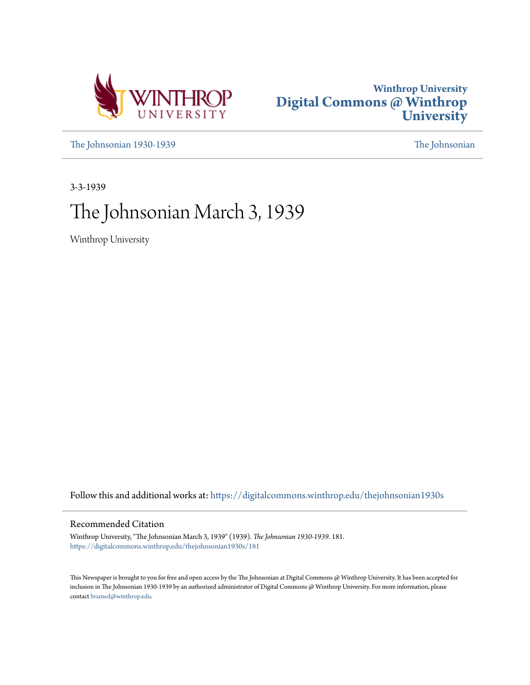



[The Johnsonian 1930-1939](https://digitalcommons.winthrop.edu/thejohnsonian1930s?utm_source=digitalcommons.winthrop.edu%2Fthejohnsonian1930s%2F181&utm_medium=PDF&utm_campaign=PDFCoverPages) [The Johnsonian](https://digitalcommons.winthrop.edu/thejohnsonian_newspaper?utm_source=digitalcommons.winthrop.edu%2Fthejohnsonian1930s%2F181&utm_medium=PDF&utm_campaign=PDFCoverPages)

3-3-1939

# The Johnsonian March 3, 1939

Winthrop University

Follow this and additional works at: [https://digitalcommons.winthrop.edu/thejohnsonian1930s](https://digitalcommons.winthrop.edu/thejohnsonian1930s?utm_source=digitalcommons.winthrop.edu%2Fthejohnsonian1930s%2F181&utm_medium=PDF&utm_campaign=PDFCoverPages)

# Recommended Citation

Winthrop University, "The Johnsonian March 3, 1939" (1939). *The Johnsonian 1930-1939*. 181. [https://digitalcommons.winthrop.edu/thejohnsonian1930s/181](https://digitalcommons.winthrop.edu/thejohnsonian1930s/181?utm_source=digitalcommons.winthrop.edu%2Fthejohnsonian1930s%2F181&utm_medium=PDF&utm_campaign=PDFCoverPages)

This Newspaper is brought to you for free and open access by the The Johnsonian at Digital Commons @ Winthrop University. It has been accepted for inclusion in The Johnsonian 1930-1939 by an authorized administrator of Digital Commons @ Winthrop University. For more information, please contact [bramed@winthrop.edu](mailto:bramed@winthrop.edu).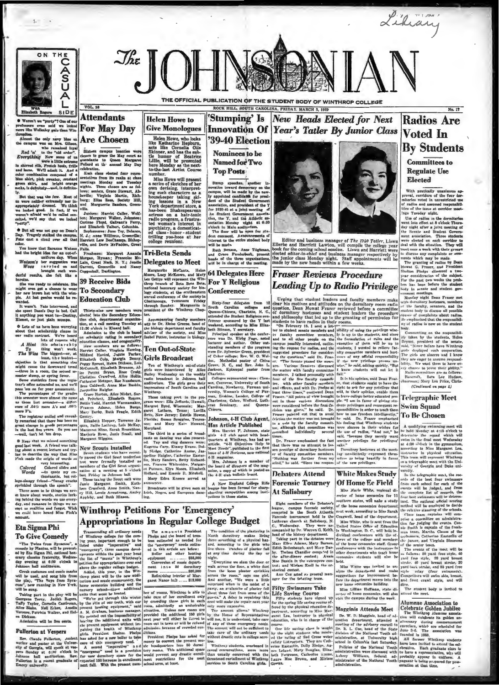

 $2.7 -$ 

m't we "purty"? One of ou<br>rs even said we looke<br>a Wellesley gals than Win

professors even said we looked Rom and the same of the same of the same said the same said and the capacitation of the same said and the same said in the capacitation of the same same of the same same of the same of the s

heroine.<br>She was ready to celebrate. She<br>might even get a chance to wear<br>her new brown hat with the wim-<br>ple. At last genius would be re-

arded.<br>It wasn't. Fate intervaned, and<br>he spent Daan's Day in bed. Call<br>: anything you want to-Destiny,<br>Lisnet, or just plain numps.

wave P's.<br>
The registrar smilled and casual-Gentry. Datey. near P's.<br>
The registrar smilled and casual-Gentry. Torrence Ja-<br>
grant change in grade percentages, gaze, Saille Lahtvey, Lois McKay,<br>
in the last five years. So

# **Attendants** For May Day

 $VOL$ <sub>16</sub>

Helen Howe, who looks<br>like Katharine Hepburn,<br>acts like Cornelia Otis<br>Skinner, and has the sub-<br>the humor of Beatrice<br>Lillie, will be presented<br>here Monday as the next-<br>to-the-last Artist Course

**Helen Howe to** 

**Give Monologues** 

to-the-mast Artist Course<br>
Miss Howe will present<br>
a series of sketches of her<br>
a series of sketches of her<br>
a series of sketches of her<br>
house-here taking skill<br>
house-here a hair-tonic<br>
implement force, a<br>
implement forc

**Tri-Beta Sends Delegates to Meet** 

**39 Receive Bids** To Secondary

# **Education Club**

put at two securities are particularly the specific that the securities of the specific stress the specific stress are particle in the specific stress and the specific stress and the specific stress and the specific stres

Innovation Of Year's Tatler By Junior Class **39-40 Election** 

THE OFFICIAL PUBLICATION OF THE STUDENT BODY OF WINTHROP COLLEGE

ROCK HILL, SOUTH CAROLINA, FRIDAY, MARCH 3, 1939

'Stumping' Is New Heads Elected for Next

Nominees to be Named for Two **Top Posts** 

Stump speeches, another in<br>ovation toward democracy on the<br>nnpns, will be made by the new-<br>ppointed candidates for presi-<br>ent of the Student Government

denoted the Shudest Covernment and the Shudest Covernment density for 1939-60 at a folar heading of the Shudest Covernment and Shudest Covernment and the United Shudest Covernment and the second the second test controller

**64 Delegates Here For Y Religious** 

Detailler Michael Margaretic Michael Margaretic Michael Michael Le Le Cetty will represent the Win-<br>
Margaretic Michael Michael Le Le Cetty will represent the Win-<br>
hardonal henorestry orderly for bio-<br>
hardonal henorestry

 $\begin{tabular}{p{0.875\textwidth}} \textbf{Margland} & \textit{Margland} & \textit{Rargland} \\ \textit{Margland} & \textit{The block} & \textit{Margland} \\ \textit{Margland} & \textit{The block} \\ \textit{all the block} & \textit{The block} \\ \textit{all the block} & \textit{The block} \\ \textit{all the block} & \textit{The end of the number.} \\ \textit{in the left of the number of the number.} \\ \textit{in the left of the number.} \\ \textit{in the left of the number.} \\ \textit{in the right of the number.} \\ \textit{in the right of the number.} \\ \textit{in the right of the number$ 

Editor and business manager of  $The 1940$  Tatier, Liswa<br>Ellerbe and Harriett Lawton, will compile the college year<br>book for the coming school session. Liswa and Harriett were<br>elected editor-in-chief and business manager res

# **Fraser Reviews Procedure Leading Up to Radio Privilege**

Leading Line and the state from the spin since  $L = \frac{1}{2}$  and  $L = \frac{1}{2}$  and  $L = \frac{1}{2}$  and  $L = \frac{1}{2}$  and  $L = \frac{1}{2}$  and  $L = \frac{1}{2}$  and  $L = \frac{1}{2}$  and  $L = \frac{1}{2}$  and  $L = \frac{1}{2}$  and  $L = \frac{1}{2}$  and  $L = \frac{1}{2}$  an

Of Home Ee Field Miss Marle White, regional di-

retor of home economics for 11<br>outhern states, will make a study

**Forensic Tourney** 

**At Salisbury** 



Lihiany

**Committees to Regulate Use Elected** 

ally unantened<br>ars of the formulation With pratice

With practically unanimous approximations are provided as a control of the four density in the control of the interaction of the interaction is the density and a same interaction with the density and the density and the s

versity. In the telegraph<br>is meat, the resortion order order of the best fear a winner<br>area of the fear of the best from each achod for each of the complete like of regords, and from<br>the complete like of regords, the from Class team captains will<br>prise a committee on adminition<br>tion for judging the events.<br>nie Smith is exptain of the from<br>man team, Maritha Clause of<br>sophomore, Catherine Easterli  $\alpha$ on of the elin of

sophomore, Catherine Easterlin of the scatter of the scatter function<br>of the scatter series of the method of the scatter of the method of<br>the scatter of the method of the scatter of the scatter<br>scatter of the scatter of t

ativnd the meet.

### **Alumnae Association to**

Visit the campus suring the week.<br>
Mirminge Association to<br>
Miggyinis Attends Meet<br>
Celebrate Golden Jubilee<br>
The Wistkrop Alumane anotheric methods and relation dependent. stended a given<br>result colden to the State of the

# —well, don't let 'ten drop.<br>
Margraret Wignia, and Essail, and costs on dancing was also present that it as a<br>state discussed constrained the set that it as a state in the set of the<br>
specialistic species are the construc

 $\begin{minipage}[t]{\textbf{0.93}\textbf{0.93}\textbf{0.93}\textbf{0.93}\textbf{0.93}\textbf{0.93}\textbf{0.93}\textbf{0.93}\textbf{0.93}\textbf{0.93}\textbf{0.93}\textbf{0.93}\textbf{0.93}\textbf{0.93}\textbf{0.93}\textbf{0.93}\textbf{0.93}\textbf{0.93}\textbf{0.93}\textbf{0.93}\textbf{0.93}\textbf{0.93}\textbf{0.93}\textbf{0.93}\textbf{0.93}\textbf{0.93}\textbf$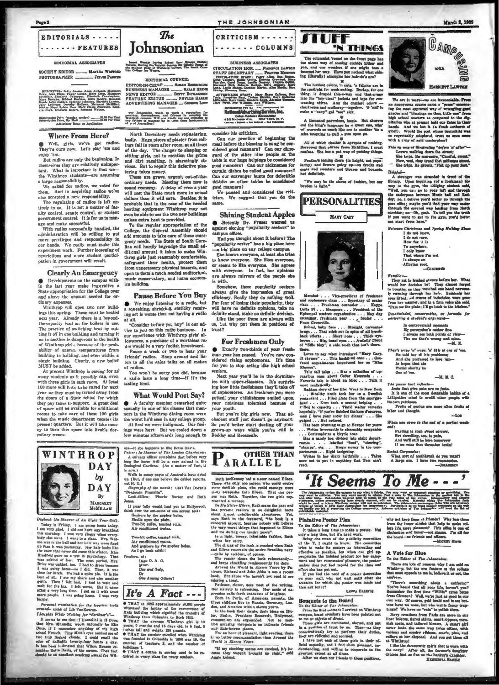

#### EDITORIAL ASSOCIATES

SOCIETY EDITOR \_\_\_\_\_\_\_\_ MANTHA WON PHOTOGRAPHER \_\_\_\_\_\_\_\_\_ JETJES PARKER

RTPORTUES: Betty Adema, Anna Alebeart, Margaret<br>Crow, Alev Riske, Fassy Green, Margaret<br>Crowike, Elizabeth Capepper, Elizabeth Caralachian, Margaret<br>Green, Elizabeth Capepper, Elizabeth Caralachian, Editor, Incarne<br>Green,

Salveription Priva (regular testica)<br>Salveription Price, By Main (1997)  $\frac{1}{100}$  -  $\frac{1}{100}$  in further

#### **Where From Here?**

Well, girls, we've got radios.<br>They're ours now. Let's play 'em and 'em. eniov

But radios are only the beginning. In But radios are only the beginning. In<br>the mesles are relatively unimportant. What is important is that we-<br>tant. What is important is that we-<br>the Winthrop students—are assuming<br>a large responsibility.<br>We asked for radios,

them. And in acquiring radios we've<br>also accepted a new responsibility.<br>The regulating of radios is left en-

inely to us. It is not a matter of fac-<br>ulty control, senate control, or student<br>government contrel. It is for us to manage

re and make successful.<br>With radios successfully handled, the administration will be willing to put none privileges and responsibility in<br>our hands. We really must make this<br>experiment work. Further loosening of restrictions and more student partici-<br>pation in government will result.

## **Clearly An Emergency**

O Developments on the campus with-<br>in the last year make imperative a<br>State appropriation for the College over above the amount needed for or-

dinary expenses.<br>Winthrop will open two new buildings this spring. These must be heated<br>next year. Already there is a beyondthe-capacity load on the boilers in use. The practice of switching heat by cut-<br>ting it off in one building and turning it on in another is dangerous to the health<br>of Winthrop girls, because of the prob-<br>ability of uneven temperatures from<br>building to building, and even within a single building. Clearly, a new boiler<br>MUST be added.

At present Winthron is caring for as many students as it possibly can, even<br>with three girls in each room. At least 100 more will have to be cared for next year or they must be turned away from<br>the doors of a State school for which they pay taxes to support. A great deal<br>of space will be available for additional<br>rooms to take care of these 100 girls when the music dopartment vacates its present quarters. But it will take mon-<br>ey to turn this space into livable dormitory rooms.

Johnsonian Incord Weskly During School Tear Enemi Heliday<br>Periods, During the Regular Seaton the Official Organ of<br>the Rudest Bedy of Wisthrop College, The Seath Care-

The

EDITORIAL COUNCIL

The Johnsonian wants in mark a republica for Windows characterizes, and fairmed in covaring the state of Windows and fairmed the state of the state of the state of the state of the state of the state of the state of the st

North Dormitory needs replastering,<br>badly. Huge pieces of plaster from cell-<br>ings fall in room after room, at all times ings a latter from after room, at an innocent stiffing girls, not to mention the grime<br>stiffing girls, not to mention the grime<br>and dirt resulting, is alarmingly ob-<br>vious. But to repair this defective plas-

vious. But to repair this detective pus-<br>tering takes money. urgent, out-of-the-<br>ordinary meeds. Meeting them now is<br>a sound conomy. A delay of even a year<br>will cost the State much more in actual<br>dollars than it will save. extra heat is provided.

To the regular appropriation of the<br>College, the General Assembly should<br>add amounts to take care of these emer-<br>strength in the care of the caregency needs. The State of South Carolina will be gency needs. The State or Source Carterian acro-<br>line will hardly begrudge the small additional amount it takes to make Win-<br>throp girls just reasonably comfortable,<br>asfeguard their bealth, protect them<br>from unnecessary ph open to them a much needed auditorium, conservatory, and home econom ics huilding.

#### **Pause Before You Buy**

We enjoy listening to a radio, but<br>a squeaking, shrieking, staticky receiving set is worse than not having a radio at all.

"Consider before you buy" is our advice to you on this radio business. our experience with Winthrop girls' allowances, a purchase of a worthless radio would be a very foolish investment. Pause a week or two to hear your<br>friends' radios. Shop around and lis-<br>ten to all the sales talks on all makes

of You won't be sorry you did, b a radio lasts a long time-if it's the

## **What Would Post Say?**

lasting kind.

A faculty member remarked quite casually in one of his classes that man-<br>ners in the Winthrop dining room were the worst he'd seen in any college group.<br>At first we were indignant. Our feel-<br>ings were hurt. But we cooled down a

few minutes afterwards long enough to

Zoological Lermann<br>
Wells in many parts of Australia have dried<br>
up. (But, if one can believe the cabled reports.

non ri, ti.)<br>- Biography of the munth: Carl Van Doren's<br>- Eest-Altkrs: - Phoche Barton and Ruth<br>- Loese-Altkrs: - Phoche Barton and Ruth<br>Loese

fond.<br>
1f your folly would lead you to Hollywood.<br>
hink over the out-comes of one serves sest:<br>
Gophers by the gopher holes,<br>
Shulls upon the plain,<br>
Two-bit coffee, toasted rolis,<br>
Two-bit coffee, toasted rolis,<br>
Air cond

Two-bit coffee, tonsted rolls,<br>Air conditioned trains,<br>And gophers by the gopher hole<br>As I go back agula!

It's A Fact ---

Dee 0, A, O,

litean<br>One and Only, Or<br>One Among Others?

Poudern, at:

consider his criticism.<br>Can our practice of beginning the<br>meal before the blessing is sung be considered good manners? Can our disper<br>sidered good manners? Can our dispersed of the other nine people at the<br>table in our hug good manners?

THE JOHNSONIAN

CRITICISM - - - - - -

....... COLUMNS

**BUSINESS ASSOCIATES** CIRCULATION LIGR. ..... PLOMENCE LAWRON

State, Person Vert, Barn Callen, Callen<br>Lind, State Callen, Callen, Callen, Callen, Callen, Callen, Callen, Callen, Callen, Callen, Callen, Callen, Callen, Callen, Callen, Callen, Callen, Callen, Callen, Callen, Callen, Ca

sider his criticism.

We paused and considered the crit-<br>ism. We suggest that you do the ieiam. same.

# **Shining Student Apples O** Recently Dr. Fraser warned us<br>against electing "popularity seekers" to

ppus offices. Had you thought about it before? The

"popularity seeker" has a big place here --- big place on any college campus.<br>She knows everyone, at least she tries to know everyone. She likes everyone,

or seems to like everyone. She agrees with everyone. In fact, her opinions are always mirrors of the people she is with.

is with.<br>
Somehow, these popularity seekers<br>
Somehow, these popularity seekers<br>
efficiency. Really they do nothing well.<br>
For fear of losing their popularity, they<br>
For fear of losing their popularity, they<br>
will have no d

Like the poor these are always with<br>s, but why put them in positions of trust?

## **For Freshmen Only**

**O** Exactly two-thirds of your freshman year has passed. You're now considered rising sophomores. It's time for you to stop acting like high school **İUTR** 

Next year you'll be in the dormitories with upper-classmen. It's surprisof sophomores. As freshmen you were petted; your childishness smiled upon,<br>your noisiness tolerated because of your youth.

But you're hig girls now. That adescent stuff just doesn't go anymore. So you'd better start dusting off you're still in grown-up ways while you're still in

**OTHER THAN** LARALLEL

Buth McKenney had a s.ster named Eileen reun aux aux on parson who could were the van only one parson who could more devillah plots, who could manage this yerspades than Eileen. That one son was Ruth. Together, the two girls on who could evolve

finite are<br>summarized into Eibert, This consideration in the case of the Scheme Trais of<br>an Eibert, This consideration in the case of the two distances<br>from the state are calculated in the state of the state are stated in

"If my stocking seams are crooked, it's be-<br>cause they weren't hypoght up right," said

**STUFF** 'N THINGS

The column<br>let 'round on the front page has toe nicest way of toming orchida hither and<br>you, and one weaders if one might teams a bouquet her way. Have you noticed what a<br>hing (liberally) examples her hair-do's are?

ters (universy) was more realized a law<br>the property of the product of the product of the product of the product<br> $\mathbf{R}$  and the product in the stress of the stress and the<br>stress into the "rep-utent" jacksta and tops fo

maxe a "pary" gat "sex.<br>A thousand parredom, lassle. But shurres<br>and the hing's language ba a queer one, who's<br>wi' wurreds so much like one to another 'tie a<br>note tempting to pull a pun upon ye.

We are in tears—we are inconsidable. From an anonymous source area<br> $\alpha$  "pume" conorar "pume" computed and "big the most approved or<br> $\eta$  of wrangling good ing the most approved or<br> $\eta$  of wrangling good bigs achoul tanch All of which chatter is apropose of nothing

Peathers coming down (in baight, not popularity) and flowers going up-on frecks and larity) and ave<br>coats and swe<br>but definitely.

"We may be the alaves of fashion, but our



 $\label{eq:2} \begin{array}{ll} \textbf{Marnhal}\;.\;.\;.\;.\; \textbf{Vles-preulated} \;\; \textit{of} \;\; \textbf{frenhman} \\ \textbf{Marnhal}\;.\;.\;.\;.\; \textbf{Vles-preulated} \;\; \textit{of} \;\; \textbf{fgenbar} \; \text{of} \;\; \textbf{fgenbar} \; \text{of} \;\; \textbf{fgenbar} \; \text{of} \;\; \textbf{fgenbar} \; \text{of} \;\; \textbf{fgenbar} \; \text{of} \;\; \textbf{fgenbar} \; \text{of} \;\; \textbf{fgenbar} \; \text$ 

there.<br>
Loves to say when introduced "Mary Cary.<br>
It rhymes"... This backfired once... Con-<br>
fused acquaintance introduced her as "Miss

Rhymen".<br>Tells tall tales . . . Has a collection of up-<br>rearious ones about Cedar Mountain . . .<br>Favorite tale is about an idiot . . . Tells it

Rhy

 $\begin{tabular}{l|c|c|c|c} \hline \textbf{Table 4} & \textbf{0} & \textbf{0} & \textbf{0} & \textbf{0} & \textbf{0} & \textbf{0} & \textbf{0} & \textbf{0} & \textbf{0} & \textbf{0} & \textbf{0} & \textbf{0} & \textbf{0} & \textbf{0} & \textbf{0} & \textbf{0} & \textbf{0} & \textbf{0} & \textbf{0} & \textbf{0} & \textbf{0} & \textbf{0} & \textbf{0} & \textbf{0} & \textbf{0} & \textbf{0} & \textbf{0} & \textbf$ Heinfal

Heighthrough was streaded in front of the library. Upon inquiring (of a frushman) the way to the gram the additional main way to the strength color left and directly the underpease herein Nordey even Herder developed the

GAMP

and the

HARRIETT LAWTON

ൡ

Between Christmas and Spring Holl

Christmas and Sprin<br>
I do not know,<br>
How far *A* is<br>
How far *A* is<br>
To anywhere,<br>
I only know<br>
I hat where I'm not<br>
Is always an<br>
Aflusius and Is always spot.<br>Alluring spot.

 $\label{eq:constrained} \begin{array}{ll} \textit{Familier} \textit{--}\textit{in}\textit{hunked} \textit{if.} \textit{mce} \textit{before} \textit{before} \textit{ber}, \textit{Wlakt} \\ \textit{--} \textit{The year in}\textit{in}\textit{in} \textit{in} \textit{in} \textit{in} \textit{in} \textit{in} \textit{in} \textit{in} \textit{in} \textit{in} \textit{in} \textit{in} \textit{in} \textit{in} \textit{in} \textit{in} \textit{in} \textit{in} \textit{in} \textit{in$ ative, or fo

.<br>Broadminded, conservative,<br>answering a student's argus

er's sonys 'n' weye, 'n' this is one of 't<br>He told her all his problems;<br>And she professed to lave 'em-<br>In hope that she<br>Would shortly be<br>One of 'em.

 $-M R C$ 

As pauce that reflects-<br>Jests that give pain are no jests.<br>It is ene of the most detectable 1<br>illipution mind to credit other p<br>u own pettiness. The pr

dpusses.<br>own pel lts of genius are more often fruite of<br>d theught. Ŧ. labor and the

 $-100$ 

When you come to the end of a perfect wook

:<br>Parting is such sweet serrow,<br>But dawdling, too, is pain,<br>And we'l! still be here tomorrow<br>If we miss that three-ten train!

cotek Corpussies:<br>What sert of toothkrush do you v<br>A large one. I have two recents ah do you w

rearious ones about Cetar Roussian.<br>
Favorite table to about an Mdet... Tells it<br>
most realistically,<br>
most be discussed about an Mdet... The second helping response to the<br>
reastern the constant response of the second he 'It Seems To Me - - -

The Johnson in the phenomenon is not what it is<br>help . Now may work in the presentation of the presentation of<br> $\mathcal{L}_\text{G}$  and  $\mathcal{L}_\text{G}$  and  $\mathcal{L}_\text{G}$  <br>and  $\mathcal{L}_\text{G}$  and  $\mathcal{L}_\text{G}$  are the presentation of The  $3d$ atternaces, unless accompanying facts sharpy waves<br>might be used to injury Windtree collaps will are the<br>willies of things is offer that possibles of the improvements<br>we handle our job of reporting the College community<br>pu

#### **Plaintive Poster Plea**

Plaintlive Poster Pleas<br>
To the Editor of The Johannoism:<br>
To the Editor of The Johannoism:<br>
It takes a long time to make a poster. Note that the state is one to the publicity committee<br>
of the T, I cagin to know. The com

**LISWA ELLERGE** 

Bouquets to the Board<br>To the Board To the Board To the Editor of The Johnsonian: <br>Irrivel on Winthrop came is a object of the some that there is a pointed out of<br>the some as objects of dreamless betted, and put in a posit

why not keep them as friends? Why han the frame the inner circles that belp to make the site of the matter of an inner-set at most distinct on and honor-set at most channe. I'm all it becomes the board-set of most system

-MICKEY MOVE

#### A Vote for Blue

To the Editor of The Johnson

There are lots of reasons why I am sole<br>Winthr-p, but the one feature on the col<br>that meet appeals to me le, bolieve it or not, m.

and/own.<br>
"There's something about a uniform!"<br>
"You've heard that all your life, haven't yea?<br>
Remember the flart time-"Wille" came heave<br>
flarement to flart time-"Wille" came heave<br>
from Clemann? Well, we're just as goo

pings V We have no "ratia" to polish them, Navy creations from Paris are mere in our line: bolarco, finroi akints, amart sinpent, name initial cost on the state of the state of the state of the various fraction of the vari

collars at her engross.<br>In the start of the start of the start of the law of the savy<br>I like the start of the farmer's described the samples of<br>crosses list as fine a Howbard's described of the start of the start of<br>HERERT

WINTHROP **DAY** by **DAY** By MARGALET McMHJAN

Dependent (An Minuser of An Eight Year Old). Today is Firstony 1 and groups the<br>algorithm are replaced in the series of the state of the minus of<br> $\sim$  1.3 and very glued. I did not have any bread<br>fraction of the state of ook (In Manner of An Eight Year Old)

Personal vanitation for the loveliest teeth<br>around- 12010 of Lib VanKeuren.<br>Thoughts While Walting for "Seribner"s"....

The<br>eights With Netwith for "Stribure"--<br>model is consistent if linear and the Mrs. Mussolin would entire<br>hilf be Elie that Mrs. Mussolin would entire<br>hilf be Elie school Frencher anything of will help high better out<br>pro

le.<br>Persona.<br>Mond— 120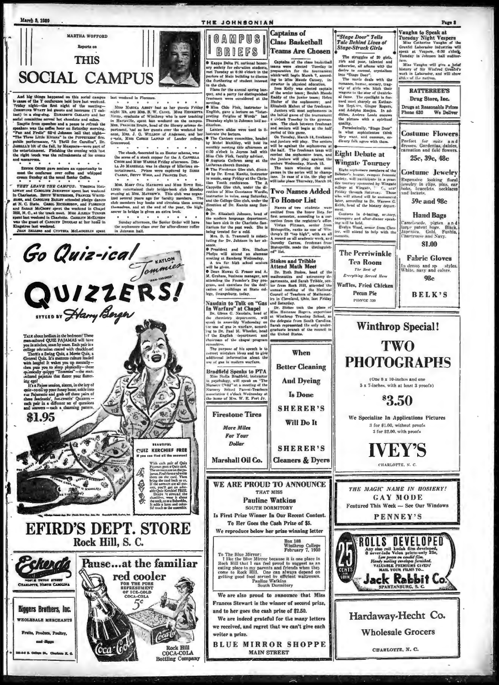



Go Quiz-ical

OUIZZERS.

And high things happened on this social campus<br>  $\alpha$  and high three happened on this social campus  $\alpha$ <br>  $\alpha$  and  $\alpha$  and  $\alpha$  and  $\alpha$  and the<br>second characteristic. The factor is dependent to the method of the second i aroons.<br>•

 $\sim$   $\sim$   $\sim$  $\bullet$ SENIOR ORDER gave seniors an opportunity to seet the conferens over coffee and whipped

THEY LEAVE THE CAMPUS: VIMINIA HAL THEY LEAVE THE CANFUS: Vumatita HAL-<br>1978 - Denotion and CARPES CANFUS: Vumatita Hal-<br>10784 and CARPESIAN JOHNSTON spent last weekend<br>sizes, and CARPESIANT WITHERMEN, TRANSCRIPT and CARPES<br>1978 - RACE CHARL CARPESIAN CONST

ingutree last weekend.<br>JEAN SELLERS and CYNTHIA McLAUGHLIN spent

**FEOLYSALE MERCHANTS** 

and Jigge

he Bi, Chat

ce, Paultey.

**. . .** 

last weekend in Florence.

 $\sim$  $\begin{tabular}{l|c|c|c} \hline \multicolumn{3}{c}{\textbf{.} } \hline \multicolumn{3}{c}{\textbf{.} } \hline \multicolumn{3}{c}{\textbf{.} } \hline \multicolumn{3}{c}{\textbf{.} } \hline \multicolumn{3}{c}{\textbf{.} } \hline \multicolumn{3}{c}{\textbf{.} } \hline \multicolumn{3}{c}{\textbf{.} } \hline \multicolumn{3}{c}{\textbf{.} } \hline \multicolumn{3}{c}{\textbf{.} } \hline \multicolumn{3}{c}{\textbf{.} } \hline \multicolumn{3}{c}{\textbf{$ 

Note that the control of the control of the second term in the Links. Markrays and Mus Retrieve is a statement of the control of the second term of the control of the control of the control of the control of the control of

Sunday afternoon, the Senior Order will have<br>the sophomore class over for after-dimer coffee in Johnson hall.

formmies

Rock Hill

**Bottling Company** 

COCA **COLA**  the modern language department<br>has been sick in the Charlotte San can been sus to the chartrotte sam-<br>that in for the past week. She is<br>being treated for a cold.<br>Mrs. D, S. Trammell is substi-<br>tuting for Dr. Johnson in her ab-

tuting for Dr. Johnson in her ab-<br>senec.<br>Senecates and Mrs. Shelton<br>Phelpa will attend an alumna<br>meeting at Banherg Wedensday.<br>The mass of the senecation will be given by the senecation<br> $\Phi$  Dean Mowa: G. Praser and A.<br>M.

win to given. At then all At the Machimed Math Meet C is been lower G. Pracer and A., Dr. Rushes mass and constraints and anticomorphic general and anticomorphic permutation and careform and exercise for the delt- iner fr

committee,<br>The purpose of his speech in to<br>correct mistaken ideas and to give<br>additional information about the<br>use of gas in modern warfare,

Bradfield Speaks to PTA Miss Stella Bradfield, instructor in preceding, will speak on "The Nursery Stellow and the Survey School Tarent-Teeshers and an association 4 o'clock Weinbedgy at the home of Mrs. W. E. Fort Jr.

**Firestone Tires** More Miles **For Your Dollar** 

Marshall Oil Co.

WE ARE PROUD TO ANNOUNCE THAT MISS **Pauline Watkins** 

SOUTH DORMITORY Is First Prize Winner In Our Recent Contest.

To Her Goes the Cash Prize of \$5. We reproduce below her prize winning letter

Box 188<br>Winthrop College<br>February 7, 1939

To The Blue Mirror:<br>
I like the Blue Mirror because it is one place in Rock Hill that I can feel proud to suggest as an almost exerting place to my parents and friends when they come to Rock Hill. One can always depend on

We are also proud to announce that Miss Frances Stewart is the winner of second prize. and to her goes the cash prize of \$2.50.

We are indeed grateful for the many letters we received, and regret that we can't give each writer a prize.

**BLUE MIRROR SHOPPE MAIN STREET** 

**Stage-Struck Girls Teams Are Chosen** 

Captains were elected Tue-sings buildings were elected Tue-sings in preparation for the cournament with the same of the state of the state of the state of the state of the state of the elected captain of the state of the

Starpe-Struck Griffs<br>
The struggles of 20 girls,<br>
The struggles of 20 girls,<br>
The and poor, talented and<br>
otherwise, all admess with the<br>
line "Starpe Doe".<br>
International distribution<br>
The movie deals with the<br>
remark, to

ter presence when the particular particular the property of the what supplies the common, or-<br>diesny folk agree with them.

**Eight Debate at Wingate Tourney** 

WITERIUM 1 OUTTUG V<br>Eints schoonser members of the<br>Debitter's longue, enempter of the<br>Debitter's longue, enempts forecastic<br>disc schoons pointered by Wingstein Control and Wingstein and Wingstein<br>Friday through Saturnay. T

Names of two students were<br>mitted from the honor lists for<br>trit semester, according to a cor-<br>ection from the registran's office<br>Vivian Pittman, senior from ment.<br>Contests in debating, or.tory,<br>extensiore and after-dinner speak-<br>ing will be held.<br>Evelyn Wood, sensor from Ches.<br>ter, will attend to help with the<br>contests.

Vivian Pittman, senior from<br>Bishopville, ranks as one of Windman, senior from<br>Bishopville, ranks as one of Windman II<br>A recend on all academic work, and Dorothy Carnes, freshman from<br>Bishopville, made the distinguish-<br>ed"

**The Perriwinkle Tea Room** The Best of Everything Served Her

Waffles, Fried Chicken **Pecan Pie** 

Vaughn to Speak at Tuesday Night Vespers<br>
Miss Catherine Vaughn of the Greenle Laborator will speak at Vespers, 6:30 o'clock,<br>
Tuesday in Johnson hall suditorium.<br>Miss Vaughn will give a brief<br>history of Sir Winfeed Genfiel's<br>work in Laborador, and will abov<br>alid, of the natives.

**RATTERREE'S** Drug Store, Inc.

Drugs at Reasonable Price We Deliver Phone 630

**Costume Flowers** Perfect for suite and<br>dresses, Gardenias, daisies,<br>carnation and field flowers.

25c, 39c, 48c

**Costume Jewelry** Expensive looking floral<br>jewelry in clips, pins, ear<br>bobs, bracelets, necklaces<br>and lockets,

**59c and 98c** 

**Hand Bags** 

Camelsuede, pigtex and<br>larve patent bags, Black,<br>Japenica, Gold, Fushia,<br>Chartruese and Navy, **\$1.00** 

**Fabric Gloves** In dressy and sp styles.<br>White, navy and colors,

 $98c$ 

**BELK'S** 







Ireshmen were considered at the<br>meeting.<br>
The Miss Chlo Fink, instructor in<br>
English, gave a lecture on "Inter-<br>
preting Origins of Words" last<br>
Thursday night in Johnson hail au-<br>
ditorium.

ditorium.<br>
Lankern alides were used to il-<br>
Lankern collecters.<br>
The Canteen committee, headed<br>
The Canteen committee, headed<br>
by Mabel McAliley, will hold its<br>
monthly meeting this afternoon at<br>
Alile Colock in Joynes hal

Elizabeth Mahon of the Freshman.<br>
Justice Mahon of the Freshman.<br>
Justice The India demonstration in the Elizabeth Mahon of the Freshman<br>
Unit India demonstration in the growing and the four-<br>
unit. The claus between fresh

omnow<br>Amet s

**Stokes and Tribble**<br>Attend Math Meet

When

THE JOHNSONIAN **Captains of Class Basketball** 



Miss Chore and some hall with the half. The freshman team will<br>
de Augusta Cothran, agg at the by paniors team will<br>
de Augusta Cothran agg at the the probest welders will play agraint the<br>
Luckeran charges. We see the st day.<br>
O Dr. Elizabeth Johnson, head of